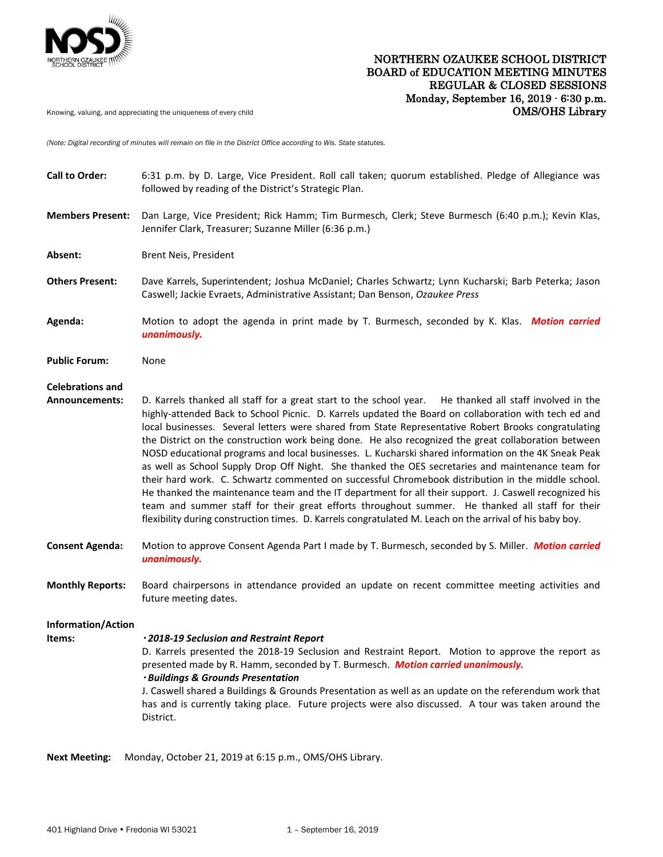

## NORTHERN OZAUKEE SCHOOL DISTRICT BOARD of EDUCATION MEETING MINUTES REGULAR & CLOSED SESSIONS Monday, September 16, 2019 ∙ 6:30 p.m. Knowing, valuing, and appreciating the uniqueness of every child **COMS/OHS COMS/OHS** COMS/OHS

*(Note: Digital recording of minutes will remain on file in the District Office according to Wis. State statutes.* 

| <b>Call to Order:</b>                            | 6:31 p.m. by D. Large, Vice President. Roll call taken; quorum established. Pledge of Allegiance was<br>followed by reading of the District's Strategic Plan.                                                                                                                                                                                                                                                                                                                                                                                                                                                                                                                                                                                                                                                                                                                                                                                                                                                                                                                |
|--------------------------------------------------|------------------------------------------------------------------------------------------------------------------------------------------------------------------------------------------------------------------------------------------------------------------------------------------------------------------------------------------------------------------------------------------------------------------------------------------------------------------------------------------------------------------------------------------------------------------------------------------------------------------------------------------------------------------------------------------------------------------------------------------------------------------------------------------------------------------------------------------------------------------------------------------------------------------------------------------------------------------------------------------------------------------------------------------------------------------------------|
| <b>Members Present:</b>                          | Dan Large, Vice President; Rick Hamm; Tim Burmesch, Clerk; Steve Burmesch (6:40 p.m.); Kevin Klas,<br>Jennifer Clark, Treasurer; Suzanne Miller (6:36 p.m.)                                                                                                                                                                                                                                                                                                                                                                                                                                                                                                                                                                                                                                                                                                                                                                                                                                                                                                                  |
| Absent:                                          | Brent Neis, President                                                                                                                                                                                                                                                                                                                                                                                                                                                                                                                                                                                                                                                                                                                                                                                                                                                                                                                                                                                                                                                        |
| <b>Others Present:</b>                           | Dave Karrels, Superintendent; Joshua McDaniel; Charles Schwartz; Lynn Kucharski; Barb Peterka; Jason<br>Caswell; Jackie Evraets, Administrative Assistant; Dan Benson, Ozaukee Press                                                                                                                                                                                                                                                                                                                                                                                                                                                                                                                                                                                                                                                                                                                                                                                                                                                                                         |
| Agenda:                                          | Motion to adopt the agenda in print made by T. Burmesch, seconded by K. Klas. Motion carried<br>unanimously.                                                                                                                                                                                                                                                                                                                                                                                                                                                                                                                                                                                                                                                                                                                                                                                                                                                                                                                                                                 |
| <b>Public Forum:</b>                             | None                                                                                                                                                                                                                                                                                                                                                                                                                                                                                                                                                                                                                                                                                                                                                                                                                                                                                                                                                                                                                                                                         |
| <b>Celebrations and</b><br><b>Announcements:</b> | D. Karrels thanked all staff for a great start to the school year. He thanked all staff involved in the<br>highly-attended Back to School Picnic. D. Karrels updated the Board on collaboration with tech ed and<br>local businesses. Several letters were shared from State Representative Robert Brooks congratulating<br>the District on the construction work being done. He also recognized the great collaboration between<br>NOSD educational programs and local businesses. L. Kucharski shared information on the 4K Sneak Peak<br>as well as School Supply Drop Off Night. She thanked the OES secretaries and maintenance team for<br>their hard work. C. Schwartz commented on successful Chromebook distribution in the middle school.<br>He thanked the maintenance team and the IT department for all their support. J. Caswell recognized his<br>team and summer staff for their great efforts throughout summer. He thanked all staff for their<br>flexibility during construction times. D. Karrels congratulated M. Leach on the arrival of his baby boy. |
| <b>Consent Agenda:</b>                           | Motion to approve Consent Agenda Part I made by T. Burmesch, seconded by S. Miller. Motion carried<br>unanimously.                                                                                                                                                                                                                                                                                                                                                                                                                                                                                                                                                                                                                                                                                                                                                                                                                                                                                                                                                           |
| <b>Monthly Reports:</b>                          | Board chairpersons in attendance provided an update on recent committee meeting activities and<br>future meeting dates.                                                                                                                                                                                                                                                                                                                                                                                                                                                                                                                                                                                                                                                                                                                                                                                                                                                                                                                                                      |
| Information/Action<br>Items:                     | · 2018-19 Seclusion and Restraint Report<br>D. Karrels presented the 2018-19 Seclusion and Restraint Report. Motion to approve the report as<br>presented made by R. Hamm, seconded by T. Burmesch. Motion carried unanimously.<br>· Buildings & Grounds Presentation<br>J. Caswell shared a Buildings & Grounds Presentation as well as an update on the referendum work that<br>has and is currently taking place. Future projects were also discussed. A tour was taken around the<br>District.                                                                                                                                                                                                                                                                                                                                                                                                                                                                                                                                                                           |

**Next Meeting:** Monday, October 21, 2019 at 6:15 p.m., OMS/OHS Library.